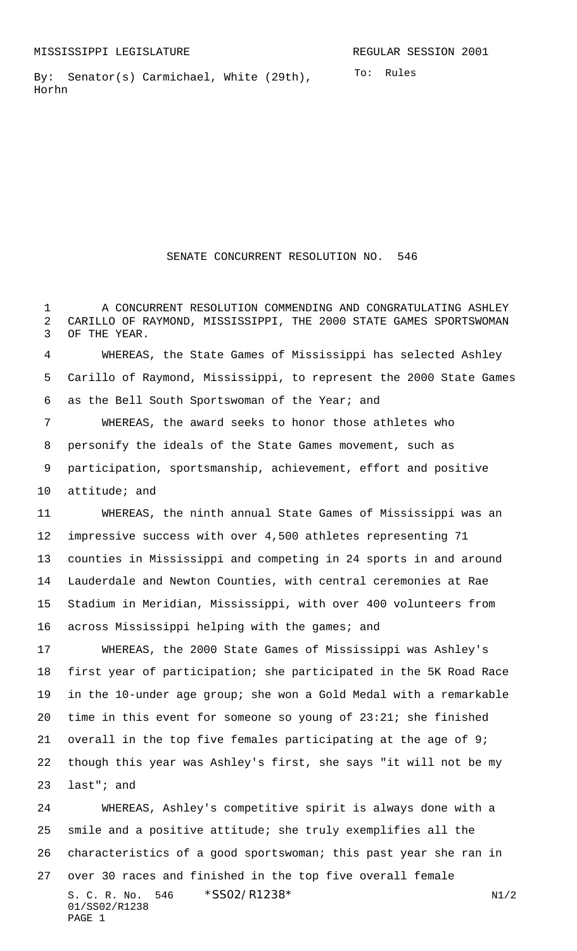To: Rules By: Senator(s) Carmichael, White (29th), Horhn

SENATE CONCURRENT RESOLUTION NO. 546

1 A CONCURRENT RESOLUTION COMMENDING AND CONGRATULATING ASHLEY CARILLO OF RAYMOND, MISSISSIPPI, THE 2000 STATE GAMES SPORTSWOMAN OF THE YEAR.

 WHEREAS, the State Games of Mississippi has selected Ashley Carillo of Raymond, Mississippi, to represent the 2000 State Games as the Bell South Sportswoman of the Year; and

 WHEREAS, the award seeks to honor those athletes who personify the ideals of the State Games movement, such as participation, sportsmanship, achievement, effort and positive attitude; and

 WHEREAS, the ninth annual State Games of Mississippi was an impressive success with over 4,500 athletes representing 71 counties in Mississippi and competing in 24 sports in and around Lauderdale and Newton Counties, with central ceremonies at Rae Stadium in Meridian, Mississippi, with over 400 volunteers from 16 across Mississippi helping with the games; and

 WHEREAS, the 2000 State Games of Mississippi was Ashley's first year of participation; she participated in the 5K Road Race in the 10-under age group; she won a Gold Medal with a remarkable time in this event for someone so young of 23:21; she finished overall in the top five females participating at the age of 9; though this year was Ashley's first, she says "it will not be my last"; and

S. C. R. No. \*SS02/R1238\* N1/2 01/SS02/R1238 PAGE 1 WHEREAS, Ashley's competitive spirit is always done with a smile and a positive attitude; she truly exemplifies all the characteristics of a good sportswoman; this past year she ran in over 30 races and finished in the top five overall female